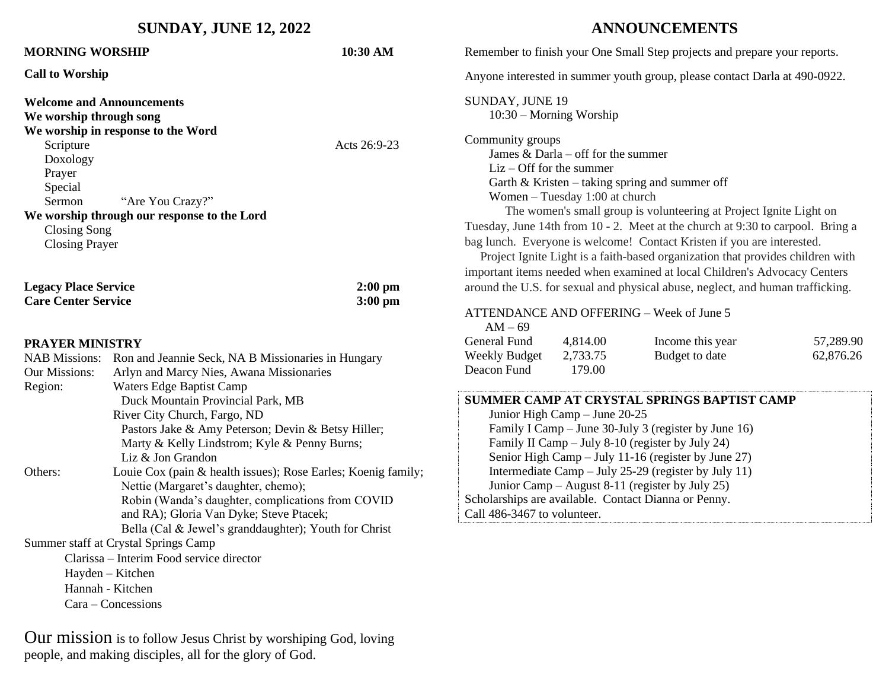| <b>SUNDAY, JUNE 12, 2022</b>                                                                                                                                                                                                                                              |                                                                                                                                                |          | <b>ANNOUNCEMENTS</b>                                                                                                                                                                                                                                                                                                                                                                                                                                                                                                                                                          |
|---------------------------------------------------------------------------------------------------------------------------------------------------------------------------------------------------------------------------------------------------------------------------|------------------------------------------------------------------------------------------------------------------------------------------------|----------|-------------------------------------------------------------------------------------------------------------------------------------------------------------------------------------------------------------------------------------------------------------------------------------------------------------------------------------------------------------------------------------------------------------------------------------------------------------------------------------------------------------------------------------------------------------------------------|
| <b>MORNING WORSHIP</b>                                                                                                                                                                                                                                                    |                                                                                                                                                | 10:30 AM | Remember to finish your One Small Step projects and prepare your reports.                                                                                                                                                                                                                                                                                                                                                                                                                                                                                                     |
| <b>Call to Worship</b>                                                                                                                                                                                                                                                    |                                                                                                                                                |          | Anyone interested in summer youth group, please contact Darla at 490-0922.                                                                                                                                                                                                                                                                                                                                                                                                                                                                                                    |
| <b>Welcome and Announcements</b><br>We worship through song                                                                                                                                                                                                               |                                                                                                                                                |          | SUNDAY, JUNE 19<br>$10:30$ – Morning Worship                                                                                                                                                                                                                                                                                                                                                                                                                                                                                                                                  |
| We worship in response to the Word<br>Acts 26:9-23<br>Scripture<br>Doxology<br>Prayer<br>Special<br>"Are You Crazy?"<br>Sermon<br>We worship through our response to the Lord<br>Closing Song<br><b>Closing Prayer</b>                                                    |                                                                                                                                                |          | Community groups<br>James & Darla – off for the summer<br>$Liz - Off$ for the summer<br>Garth $&$ Kristen – taking spring and summer off<br>Women $-$ Tuesday 1:00 at church<br>The women's small group is volunteering at Project Ignite Light on<br>Tuesday, June 14th from 10 - 2. Meet at the church at 9:30 to carpool. Bring a<br>bag lunch. Everyone is welcome! Contact Kristen if you are interested.<br>Project Ignite Light is a faith-based organization that provides children with<br>important items needed when examined at local Children's Advocacy Centers |
| <b>Legacy Place Service</b><br>$2:00$ pm<br><b>Care Center Service</b><br>$3:00$ pm                                                                                                                                                                                       |                                                                                                                                                |          | around the U.S. for sexual and physical abuse, neglect, and human trafficking.<br>ATTENDANCE AND OFFERING - Week of June 5<br>$AM - 69$                                                                                                                                                                                                                                                                                                                                                                                                                                       |
| <b>PRAYER MINISTRY</b><br><b>NAB Missions:</b><br>Ron and Jeannie Seck, NA B Missionaries in Hungary<br><b>Our Missions:</b><br>Arlyn and Marcy Nies, Awana Missionaries<br>Region:<br>Waters Edge Baptist Camp                                                           |                                                                                                                                                |          | General Fund<br>4,814.00<br>Income this year<br>57,289.90<br>2,733.75<br>Budget to date<br>62,876.26<br><b>Weekly Budget</b><br>179.00<br>Deacon Fund                                                                                                                                                                                                                                                                                                                                                                                                                         |
| Duck Mountain Provincial Park, MB<br>River City Church, Fargo, ND<br>Pastors Jake & Amy Peterson; Devin & Betsy Hiller;<br>Marty & Kelly Lindstrom; Kyle & Penny Burns;<br>Liz & Jon Grandon                                                                              |                                                                                                                                                |          | SUMMER CAMP AT CRYSTAL SPRINGS BAPTIST CAMP<br>Junior High Camp - June 20-25<br>Family I Camp – June 30-July 3 (register by June 16)<br>Family II Camp – July 8-10 (register by July 24)<br>Senior High Camp - July 11-16 (register by June 27)                                                                                                                                                                                                                                                                                                                               |
| Louie Cox (pain & health issues); Rose Earles; Koenig family;<br>Others:<br>Nettie (Margaret's daughter, chemo);<br>Robin (Wanda's daughter, complications from COVID<br>and RA); Gloria Van Dyke; Steve Ptacek;<br>Bella (Cal & Jewel's granddaughter); Youth for Christ |                                                                                                                                                |          | Intermediate Camp $-$ July 25-29 (register by July 11)<br>Junior Camp – August 8-11 (register by July 25)<br>Scholarships are available. Contact Dianna or Penny.<br>Call 486-3467 to volunteer.                                                                                                                                                                                                                                                                                                                                                                              |
|                                                                                                                                                                                                                                                                           | Summer staff at Crystal Springs Camp<br>Clarissa – Interim Food service director<br>Hayden - Kitchen<br>Hannah - Kitchen<br>Cara – Concessions |          |                                                                                                                                                                                                                                                                                                                                                                                                                                                                                                                                                                               |

Our mission is to follow Jesus Christ by worshiping God, loving people, and making disciples, all for the glory of God.